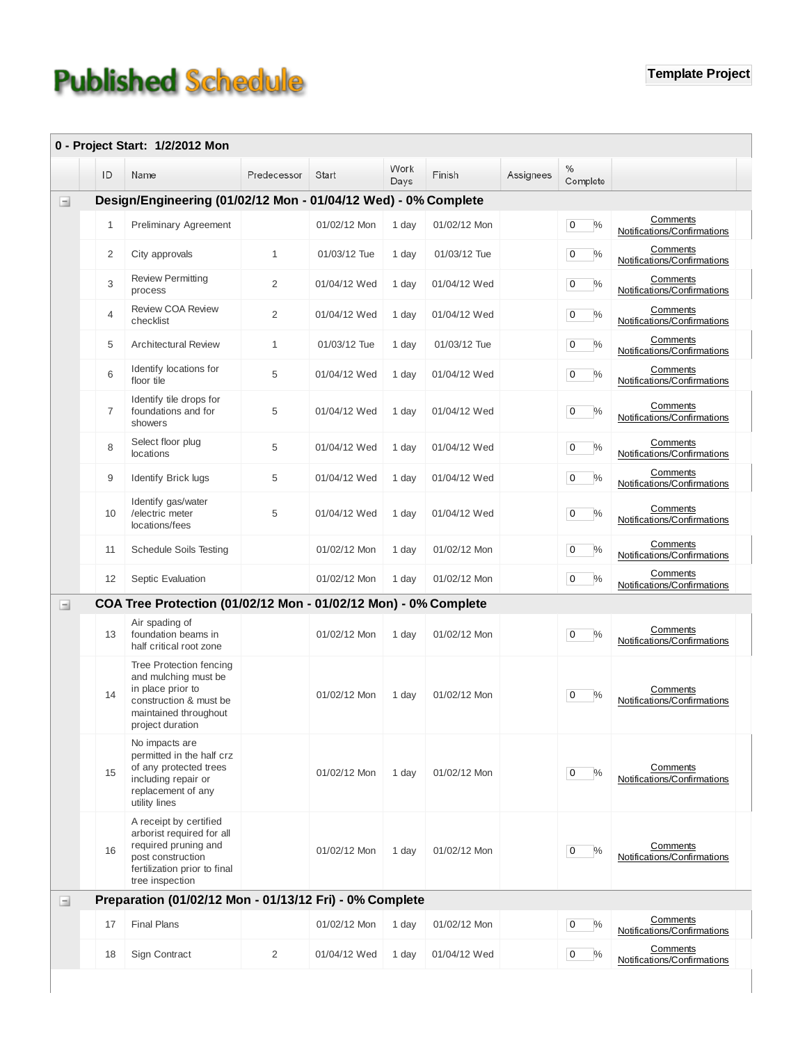## **Published Schedule**

|          |                | 0 - Project Start: 1/2/2012 Mon                                                                                                                     |                |              |              |              |           |                                 |                                         |
|----------|----------------|-----------------------------------------------------------------------------------------------------------------------------------------------------|----------------|--------------|--------------|--------------|-----------|---------------------------------|-----------------------------------------|
|          | ID             | Name                                                                                                                                                | Predecessor    | Start        | Work<br>Days | Finish       | Assignees | $\%$<br>Complete                |                                         |
| $\Box$   |                | Design/Engineering (01/02/12 Mon - 01/04/12 Wed) - 0% Complete                                                                                      |                |              |              |              |           |                                 |                                         |
|          | $\mathbf{1}$   | <b>Preliminary Agreement</b>                                                                                                                        |                | 01/02/12 Mon | 1 day        | 01/02/12 Mon |           | $\mathbf 0$<br>$\frac{0}{0}$    | Comments<br>Notifications/Confirmations |
|          | 2              | City approvals                                                                                                                                      | $\mathbf{1}$   | 01/03/12 Tue | 1 day        | 01/03/12 Tue |           | $\mathbf 0$<br>$\frac{0}{0}$    | Comments<br>Notifications/Confirmations |
|          | 3              | <b>Review Permitting</b><br>process                                                                                                                 | $\overline{2}$ | 01/04/12 Wed | 1 day        | 01/04/12 Wed |           | $\frac{0}{0}$<br>0              | Comments<br>Notifications/Confirmations |
|          | $\overline{4}$ | <b>Review COA Review</b><br>checklist                                                                                                               | $\overline{2}$ | 01/04/12 Wed | 1 day        | 01/04/12 Wed |           | $\frac{0}{0}$<br>$\mathbf 0$    | Comments<br>Notifications/Confirmations |
|          | 5              | <b>Architectural Review</b>                                                                                                                         | 1              | 01/03/12 Tue | 1 day        | 01/03/12 Tue |           | $\frac{0}{0}$<br>$\mathbf 0$    | Comments<br>Notifications/Confirmations |
|          | 6              | Identify locations for<br>floor tile                                                                                                                | 5              | 01/04/12 Wed | 1 day        | 01/04/12 Wed |           | $\mathbf 0$<br>$\%$             | Comments<br>Notifications/Confirmations |
|          | $\overline{7}$ | Identify tile drops for<br>foundations and for<br>showers                                                                                           | 5              | 01/04/12 Wed | 1 day        | 01/04/12 Wed |           | $\frac{0}{0}$<br>0              | Comments<br>Notifications/Confirmations |
|          | 8              | Select floor plug<br>locations                                                                                                                      | 5              | 01/04/12 Wed | 1 day        | 01/04/12 Wed |           | $\mathbf 0$<br>$\frac{0}{0}$    | Comments<br>Notifications/Confirmations |
|          | 9              | Identify Brick lugs                                                                                                                                 | 5              | 01/04/12 Wed | 1 day        | 01/04/12 Wed |           | $\overline{0}$<br>$\frac{0}{0}$ | Comments<br>Notifications/Confirmations |
|          | 10             | Identify gas/water<br>/electric meter<br>locations/fees                                                                                             | 5              | 01/04/12 Wed | 1 day        | 01/04/12 Wed |           | $\frac{0}{0}$<br>0              | Comments<br>Notifications/Confirmations |
|          | 11             | <b>Schedule Soils Testing</b>                                                                                                                       |                | 01/02/12 Mon | 1 day        | 01/02/12 Mon |           | $\%$<br>$\overline{0}$          | Comments<br>Notifications/Confirmations |
|          | 12             | Septic Evaluation                                                                                                                                   |                | 01/02/12 Mon | 1 day        | 01/02/12 Mon |           | $\frac{0}{0}$<br>0              | Comments<br>Notifications/Confirmations |
| $\equiv$ |                | COA Tree Protection (01/02/12 Mon - 01/02/12 Mon) - 0% Complete                                                                                     |                |              |              |              |           |                                 |                                         |
|          | 13             | Air spading of<br>foundation beams in<br>half critical root zone                                                                                    |                | 01/02/12 Mon | 1 day        | 01/02/12 Mon |           | 0<br>$\%$                       | Comments<br>Notifications/Confirmations |
|          | 14             | Tree Protection fencing<br>and mulching must be<br>in place prior to<br>construction & must be<br>maintained throughout<br>project duration         |                | 01/02/12 Mon | 1 day        | 01/02/12 Mon |           | $\%$<br>0                       | Comments<br>Notifications/Confirmations |
|          | 15             | No impacts are<br>permitted in the half crz<br>of any protected trees<br>including repair or<br>replacement of any<br>utility lines                 |                | 01/02/12 Mon | 1 day        | 01/02/12 Mon |           | $\frac{0}{0}$<br>$\mathbf 0$    | Comments<br>Notifications/Confirmations |
|          | 16             | A receipt by certified<br>arborist required for all<br>required pruning and<br>post construction<br>fertilization prior to final<br>tree inspection |                | 01/02/12 Mon | 1 day        | 01/02/12 Mon |           | 0<br>$\frac{0}{0}$              | Comments<br>Notifications/Confirmations |
| Ξ        |                | Preparation (01/02/12 Mon - 01/13/12 Fri) - 0% Complete                                                                                             |                |              |              |              |           |                                 |                                         |
|          | 17             | <b>Final Plans</b>                                                                                                                                  |                | 01/02/12 Mon | 1 day        | 01/02/12 Mon |           | $\%$<br>0                       | Comments<br>Notifications/Confirmations |
|          | 18             | Sign Contract                                                                                                                                       | $\overline{2}$ | 01/04/12 Wed | 1 day        | 01/04/12 Wed |           | $\%$<br>0                       | Comments<br>Notifications/Confirmations |
|          |                |                                                                                                                                                     |                |              |              |              |           |                                 |                                         |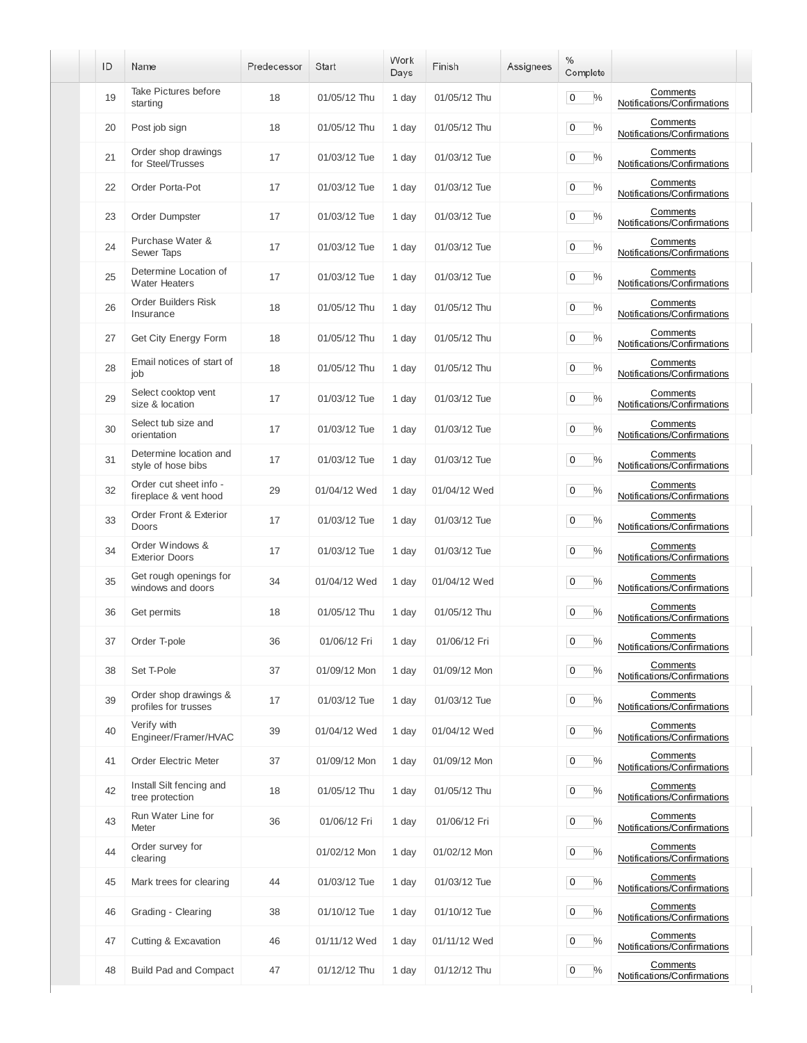| ID | Name                                            | Predecessor | <b>Start</b> | Work<br>Days | Finish       | Assignees | $\%$<br>Complete             |                                         |
|----|-------------------------------------------------|-------------|--------------|--------------|--------------|-----------|------------------------------|-----------------------------------------|
| 19 | Take Pictures before<br>starting                | 18          | 01/05/12 Thu | 1 day        | 01/05/12 Thu |           | $\mathbf 0$<br>$\%$          | Comments<br>Notifications/Confirmations |
| 20 | Post job sign                                   | 18          | 01/05/12 Thu | 1 day        | 01/05/12 Thu |           | $\%$<br>0                    | Comments<br>Notifications/Confirmations |
| 21 | Order shop drawings<br>for Steel/Trusses        | 17          | 01/03/12 Tue | 1 day        | 01/03/12 Tue |           | 0<br>$\%$                    | Comments<br>Notifications/Confirmations |
| 22 | Order Porta-Pot                                 | 17          | 01/03/12 Tue | 1 day        | 01/03/12 Tue |           | 0<br>$\%$                    | Comments<br>Notifications/Confirmations |
| 23 | Order Dumpster                                  | 17          | 01/03/12 Tue | 1 day        | 01/03/12 Tue |           | $\%$<br>0                    | Comments<br>Notifications/Confirmations |
| 24 | Purchase Water &<br>Sewer Taps                  | 17          | 01/03/12 Tue | 1 day        | 01/03/12 Tue |           | $\%$<br>0                    | Comments<br>Notifications/Confirmations |
| 25 | Determine Location of<br><b>Water Heaters</b>   | 17          | 01/03/12 Tue | 1 day        | 01/03/12 Tue |           | $\%$<br>0                    | Comments<br>Notifications/Confirmations |
| 26 | <b>Order Builders Risk</b><br>Insurance         | 18          | 01/05/12 Thu | 1 day        | 01/05/12 Thu |           | $\%$<br>0                    | Comments<br>Notifications/Confirmations |
| 27 | Get City Energy Form                            | 18          | 01/05/12 Thu | 1 day        | 01/05/12 Thu |           | 0<br>$\%$                    | Comments<br>Notifications/Confirmations |
| 28 | Email notices of start of<br>job                | 18          | 01/05/12 Thu | 1 day        | 01/05/12 Thu |           | 0<br>$\%$                    | Comments<br>Notifications/Confirmations |
| 29 | Select cooktop vent<br>size & location          | 17          | 01/03/12 Tue | 1 day        | 01/03/12 Tue |           | $\frac{0}{0}$<br>0           | Comments<br>Notifications/Confirmations |
| 30 | Select tub size and<br>orientation              | 17          | 01/03/12 Tue | 1 day        | 01/03/12 Tue |           | $\%$<br>0                    | Comments<br>Notifications/Confirmations |
| 31 | Determine location and<br>style of hose bibs    | 17          | 01/03/12 Tue | 1 day        | 01/03/12 Tue |           | $\mathbf 0$<br>$\frac{0}{0}$ | Comments<br>Notifications/Confirmations |
| 32 | Order cut sheet info -<br>fireplace & vent hood | 29          | 01/04/12 Wed | 1 day        | 01/04/12 Wed |           | $\mathbf 0$<br>$\%$          | Comments<br>Notifications/Confirmations |
| 33 | Order Front & Exterior<br>Doors                 | 17          | 01/03/12 Tue | 1 day        | 01/03/12 Tue |           | $\mathbf 0$<br>$\%$          | Comments<br>Notifications/Confirmations |
| 34 | Order Windows &<br><b>Exterior Doors</b>        | 17          | 01/03/12 Tue | 1 day        | 01/03/12 Tue |           | 0<br>$\%$                    | Comments<br>Notifications/Confirmations |
| 35 | Get rough openings for<br>windows and doors     | 34          | 01/04/12 Wed | 1 day        | 01/04/12 Wed |           | 0<br>%                       | Comments<br>Notifications/Confirmations |
| 36 | Get permits                                     | 18          | 01/05/12 Thu | 1 day        | 01/05/12 Thu |           | 0<br>$\frac{0}{0}$           | Comments<br>Notifications/Confirmations |
| 37 | Order T-pole                                    | 36          | 01/06/12 Fri | 1 day        | 01/06/12 Fri |           | $0\frac{9}{6}$               | Comments<br>Notifications/Confirmations |
| 38 | Set T-Pole                                      | 37          | 01/09/12 Mon | 1 day        | 01/09/12 Mon |           | $\%$<br>0                    | Comments<br>Notifications/Confirmations |
| 39 | Order shop drawings &<br>profiles for trusses   | 17          | 01/03/12 Tue | 1 day        | 01/03/12 Tue |           | 0<br>$\%$                    | Comments<br>Notifications/Confirmations |
| 40 | Verify with<br>Engineer/Framer/HVAC             | 39          | 01/04/12 Wed | 1 day        | 01/04/12 Wed |           | $\mathbf 0$<br>$\%$          | Comments<br>Notifications/Confirmations |
| 41 | Order Electric Meter                            | 37          | 01/09/12 Mon | 1 day        | 01/09/12 Mon |           | $\%$<br>$\mathbf 0$          | Comments<br>Notifications/Confirmations |
| 42 | Install Silt fencing and<br>tree protection     | 18          | 01/05/12 Thu | 1 day        | 01/05/12 Thu |           | $\mathbf 0$<br>$\%$          | Comments<br>Notifications/Confirmations |
| 43 | Run Water Line for<br>Meter                     | 36          | 01/06/12 Fri | 1 day        | 01/06/12 Fri |           | $\mathbf 0$<br>$\%$          | Comments<br>Notifications/Confirmations |
| 44 | Order survey for<br>clearing                    |             | 01/02/12 Mon | 1 day        | 01/02/12 Mon |           | $\mathbf 0$<br>$\%$          | Comments<br>Notifications/Confirmations |
| 45 | Mark trees for clearing                         | 44          | 01/03/12 Tue | 1 day        | 01/03/12 Tue |           | $\mathbf 0$<br>$\%$          | Comments<br>Notifications/Confirmations |
| 46 | Grading - Clearing                              | 38          | 01/10/12 Tue | 1 day        | 01/10/12 Tue |           | 0<br>$\%$                    | Comments<br>Notifications/Confirmations |
| 47 | Cutting & Excavation                            | 46          | 01/11/12 Wed | 1 day        | 01/11/12 Wed |           | 0<br>$\%$                    | Comments<br>Notifications/Confirmations |
| 48 | <b>Build Pad and Compact</b>                    | 47          | 01/12/12 Thu | 1 day        | 01/12/12 Thu |           | 0<br>$\%$                    | Comments<br>Notifications/Confirmations |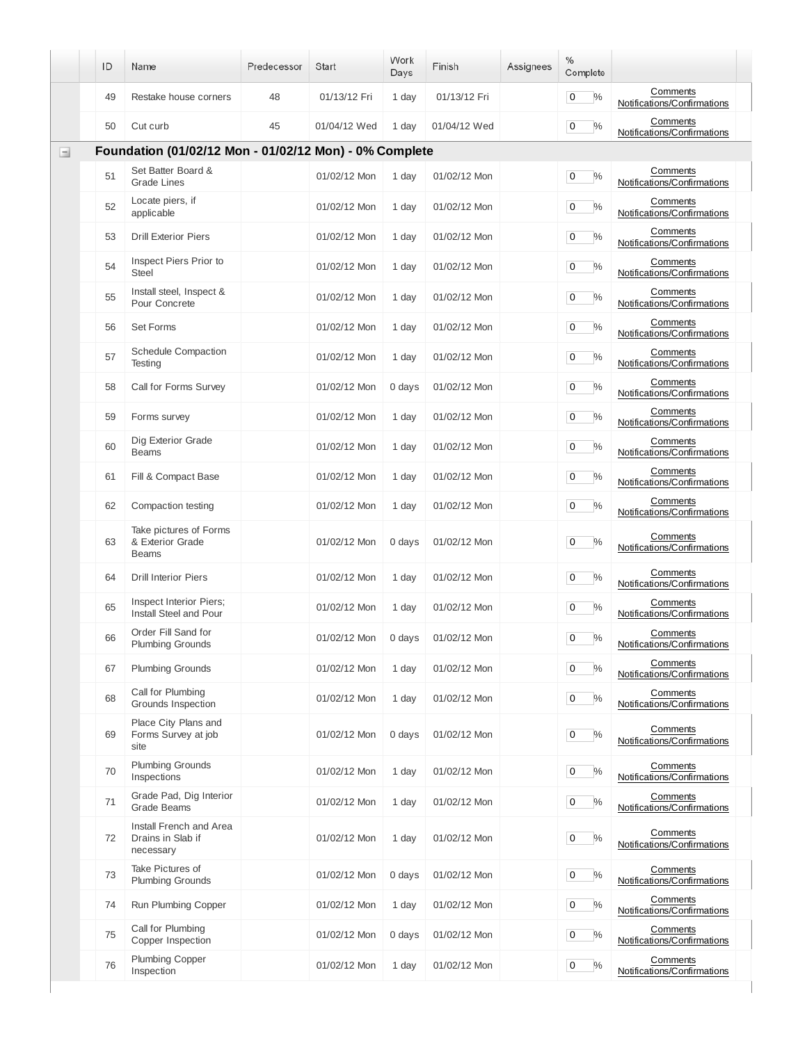| Comments<br>$\frac{0}{0}$<br>48<br>01/13/12 Fri<br>01/13/12 Fri<br>0<br>49<br>Restake house corners<br>1 day<br>Notifications/Confirmations<br>Comments<br>45<br>$\mathbf 0$<br>$\frac{0}{0}$<br>01/04/12 Wed<br>1 day<br>01/04/12 Wed<br>50<br>Cut curb<br>Notifications/Confirmations<br>Foundation (01/02/12 Mon - 01/02/12 Mon) - 0% Complete<br>Ξ<br>Set Batter Board &<br>Comments<br>51<br>$\frac{0}{0}$<br>01/02/12 Mon<br>1 day<br>01/02/12 Mon<br>0<br><b>Grade Lines</b><br>Notifications/Confirmations<br>Locate piers, if<br>Comments<br>52<br>$\frac{0}{0}$<br>01/02/12 Mon<br>1 day<br>01/02/12 Mon<br>0<br>Notifications/Confirmations<br>applicable<br>Comments<br>$\mathbf 0$<br>$\frac{0}{0}$<br>53<br><b>Drill Exterior Piers</b><br>01/02/12 Mon<br>01/02/12 Mon<br>1 day<br>Notifications/Confirmations<br>Inspect Piers Prior to<br>Comments<br>54<br>$\%$<br>01/02/12 Mon<br>0<br>01/02/12 Mon<br>1 day<br><b>Steel</b><br>Notifications/Confirmations<br>Install steel, Inspect &<br>Comments<br>55<br>01/02/12 Mon<br>01/02/12 Mon<br>0<br>$\frac{0}{0}$<br>1 day<br>Pour Concrete<br>Notifications/Confirmations<br>Comments<br>$\frac{0}{0}$<br>56<br>Set Forms<br>01/02/12 Mon<br>01/02/12 Mon<br>0<br>1 day<br>Notifications/Confirmations<br>Schedule Compaction<br>Comments<br>57<br>$\frac{0}{0}$<br>01/02/12 Mon<br>0<br>01/02/12 Mon<br>1 day<br>Notifications/Confirmations<br>Testing<br>Comments<br>$\frac{0}{0}$<br>58<br>Call for Forms Survey<br>01/02/12 Mon<br>0<br>01/02/12 Mon<br>0 days<br>Notifications/Confirmations<br>Comments<br>$\%$<br>59<br>01/02/12 Mon<br>01/02/12 Mon<br>0<br>Forms survey<br>1 day<br>Notifications/Confirmations<br>Dig Exterior Grade<br>Comments<br>60<br>$\frac{0}{0}$<br>01/02/12 Mon<br>01/02/12 Mon<br>0<br>1 day<br>Notifications/Confirmations<br><b>Beams</b><br>Comments<br>$\frac{0}{0}$<br>Fill & Compact Base<br>01/02/12 Mon<br>0<br>61<br>01/02/12 Mon<br>1 day<br>Notifications/Confirmations<br>Comments<br>$\mathbf 0$<br>$\frac{0}{0}$<br>62<br>Compaction testing<br>01/02/12 Mon<br>01/02/12 Mon<br>1 day<br>Notifications/Confirmations<br>Take pictures of Forms<br>Comments<br>& Exterior Grade<br>$\%$<br>63<br>01/02/12 Mon<br>0<br>01/02/12 Mon<br>0 days<br>Notifications/Confirmations<br><b>Beams</b><br>Comments<br>$\mathbf 0$<br>$\frac{0}{0}$<br>64<br><b>Drill Interior Piers</b><br>01/02/12 Mon<br>01/02/12 Mon<br>1 day<br>Notifications/Confirmations<br>Inspect Interior Piers;<br>Comments<br>65<br>01/02/12 Mon<br>01/02/12 Mon<br>0<br>$\%$<br>1 day<br>Install Steel and Pour<br>Notifications/Confirmations<br>Order Fill Sand for<br>Comments<br>$\frac{9}{6}$<br>66<br>0<br>01/02/12 Mon<br>0 days<br>01/02/12 Mon<br><b>Plumbing Grounds</b><br>Notifications/Confirmations<br>Comments<br>$\%$<br><b>Plumbing Grounds</b><br>$\mathbf 0$<br>67<br>01/02/12 Mon<br>1 day<br>01/02/12 Mon<br>Notifications/Confirmations<br>Call for Plumbing<br>Comments<br>68<br>$\%$<br>01/02/12 Mon<br>1 day<br>01/02/12 Mon<br>$\mathbf 0$<br>Grounds Inspection<br>Notifications/Confirmations<br>Place City Plans and<br>Comments<br>Forms Survey at job<br>69<br>01/02/12 Mon<br>$\%$<br>01/02/12 Mon<br>0 days<br>0<br>Notifications/Confirmations<br>site<br><b>Plumbing Grounds</b><br>Comments<br>70<br>01/02/12 Mon<br>1 day<br>01/02/12 Mon<br>$\mathbf 0$<br>$\%$<br>Notifications/Confirmations<br>Inspections<br>Grade Pad, Dig Interior<br>Comments<br>71<br>$\%$<br>01/02/12 Mon<br>01/02/12 Mon<br>1 day<br>0<br><b>Grade Beams</b><br>Notifications/Confirmations<br>Install French and Area<br>Comments<br>Drains in Slab if<br>$\%$<br>72<br>01/02/12 Mon<br>1 day<br>01/02/12 Mon<br>0<br>Notifications/Confirmations<br>necessary<br>Take Pictures of<br>Comments<br>73<br>01/02/12 Mon<br>0 days<br>01/02/12 Mon<br>$\%$<br>0<br><b>Plumbing Grounds</b><br>Notifications/Confirmations<br>Comments<br>$\%$<br>74<br>Run Plumbing Copper<br>01/02/12 Mon<br>1 day<br>01/02/12 Mon<br>0<br>Notifications/Confirmations<br>Call for Plumbing<br>Comments<br>75<br>$\%$<br>0 days<br>01/02/12 Mon<br>01/02/12 Mon<br>0<br>Copper Inspection<br>Notifications/Confirmations<br><b>Plumbing Copper</b><br>Comments<br>76<br>$\%$<br>01/02/12 Mon<br>01/02/12 Mon<br>$\mathbf 0$<br>1 day<br>Inspection<br>Notifications/Confirmations | ID | Name | Predecessor | <b>Start</b> | Work<br>Days | Finish | Assignees | $\%$<br>Complete |  |
|----------------------------------------------------------------------------------------------------------------------------------------------------------------------------------------------------------------------------------------------------------------------------------------------------------------------------------------------------------------------------------------------------------------------------------------------------------------------------------------------------------------------------------------------------------------------------------------------------------------------------------------------------------------------------------------------------------------------------------------------------------------------------------------------------------------------------------------------------------------------------------------------------------------------------------------------------------------------------------------------------------------------------------------------------------------------------------------------------------------------------------------------------------------------------------------------------------------------------------------------------------------------------------------------------------------------------------------------------------------------------------------------------------------------------------------------------------------------------------------------------------------------------------------------------------------------------------------------------------------------------------------------------------------------------------------------------------------------------------------------------------------------------------------------------------------------------------------------------------------------------------------------------------------------------------------------------------------------------------------------------------------------------------------------------------------------------------------------------------------------------------------------------------------------------------------------------------------------------------------------------------------------------------------------------------------------------------------------------------------------------------------------------------------------------------------------------------------------------------------------------------------------------------------------------------------------------------------------------------------------------------------------------------------------------------------------------------------------------------------------------------------------------------------------------------------------------------------------------------------------------------------------------------------------------------------------------------------------------------------------------------------------------------------------------------------------------------------------------------------------------------------------------------------------------------------------------------------------------------------------------------------------------------------------------------------------------------------------------------------------------------------------------------------------------------------------------------------------------------------------------------------------------------------------------------------------------------------------------------------------------------------------------------------------------------------------------------------------------------------------------------------------------------------------------------------------------------------------------------------------------------------------------------------------------------------------------------------------------------------------------------------------------------------------------------------------------------------------------------------------------------------------------------------------------------------------------------------------------------------------------------------------------------------------------------------------------------------------------------------------|----|------|-------------|--------------|--------------|--------|-----------|------------------|--|
|                                                                                                                                                                                                                                                                                                                                                                                                                                                                                                                                                                                                                                                                                                                                                                                                                                                                                                                                                                                                                                                                                                                                                                                                                                                                                                                                                                                                                                                                                                                                                                                                                                                                                                                                                                                                                                                                                                                                                                                                                                                                                                                                                                                                                                                                                                                                                                                                                                                                                                                                                                                                                                                                                                                                                                                                                                                                                                                                                                                                                                                                                                                                                                                                                                                                                                                                                                                                                                                                                                                                                                                                                                                                                                                                                                                                                                                                                                                                                                                                                                                                                                                                                                                                                                                                                                                                                                      |    |      |             |              |              |        |           |                  |  |
|                                                                                                                                                                                                                                                                                                                                                                                                                                                                                                                                                                                                                                                                                                                                                                                                                                                                                                                                                                                                                                                                                                                                                                                                                                                                                                                                                                                                                                                                                                                                                                                                                                                                                                                                                                                                                                                                                                                                                                                                                                                                                                                                                                                                                                                                                                                                                                                                                                                                                                                                                                                                                                                                                                                                                                                                                                                                                                                                                                                                                                                                                                                                                                                                                                                                                                                                                                                                                                                                                                                                                                                                                                                                                                                                                                                                                                                                                                                                                                                                                                                                                                                                                                                                                                                                                                                                                                      |    |      |             |              |              |        |           |                  |  |
|                                                                                                                                                                                                                                                                                                                                                                                                                                                                                                                                                                                                                                                                                                                                                                                                                                                                                                                                                                                                                                                                                                                                                                                                                                                                                                                                                                                                                                                                                                                                                                                                                                                                                                                                                                                                                                                                                                                                                                                                                                                                                                                                                                                                                                                                                                                                                                                                                                                                                                                                                                                                                                                                                                                                                                                                                                                                                                                                                                                                                                                                                                                                                                                                                                                                                                                                                                                                                                                                                                                                                                                                                                                                                                                                                                                                                                                                                                                                                                                                                                                                                                                                                                                                                                                                                                                                                                      |    |      |             |              |              |        |           |                  |  |
|                                                                                                                                                                                                                                                                                                                                                                                                                                                                                                                                                                                                                                                                                                                                                                                                                                                                                                                                                                                                                                                                                                                                                                                                                                                                                                                                                                                                                                                                                                                                                                                                                                                                                                                                                                                                                                                                                                                                                                                                                                                                                                                                                                                                                                                                                                                                                                                                                                                                                                                                                                                                                                                                                                                                                                                                                                                                                                                                                                                                                                                                                                                                                                                                                                                                                                                                                                                                                                                                                                                                                                                                                                                                                                                                                                                                                                                                                                                                                                                                                                                                                                                                                                                                                                                                                                                                                                      |    |      |             |              |              |        |           |                  |  |
|                                                                                                                                                                                                                                                                                                                                                                                                                                                                                                                                                                                                                                                                                                                                                                                                                                                                                                                                                                                                                                                                                                                                                                                                                                                                                                                                                                                                                                                                                                                                                                                                                                                                                                                                                                                                                                                                                                                                                                                                                                                                                                                                                                                                                                                                                                                                                                                                                                                                                                                                                                                                                                                                                                                                                                                                                                                                                                                                                                                                                                                                                                                                                                                                                                                                                                                                                                                                                                                                                                                                                                                                                                                                                                                                                                                                                                                                                                                                                                                                                                                                                                                                                                                                                                                                                                                                                                      |    |      |             |              |              |        |           |                  |  |
|                                                                                                                                                                                                                                                                                                                                                                                                                                                                                                                                                                                                                                                                                                                                                                                                                                                                                                                                                                                                                                                                                                                                                                                                                                                                                                                                                                                                                                                                                                                                                                                                                                                                                                                                                                                                                                                                                                                                                                                                                                                                                                                                                                                                                                                                                                                                                                                                                                                                                                                                                                                                                                                                                                                                                                                                                                                                                                                                                                                                                                                                                                                                                                                                                                                                                                                                                                                                                                                                                                                                                                                                                                                                                                                                                                                                                                                                                                                                                                                                                                                                                                                                                                                                                                                                                                                                                                      |    |      |             |              |              |        |           |                  |  |
|                                                                                                                                                                                                                                                                                                                                                                                                                                                                                                                                                                                                                                                                                                                                                                                                                                                                                                                                                                                                                                                                                                                                                                                                                                                                                                                                                                                                                                                                                                                                                                                                                                                                                                                                                                                                                                                                                                                                                                                                                                                                                                                                                                                                                                                                                                                                                                                                                                                                                                                                                                                                                                                                                                                                                                                                                                                                                                                                                                                                                                                                                                                                                                                                                                                                                                                                                                                                                                                                                                                                                                                                                                                                                                                                                                                                                                                                                                                                                                                                                                                                                                                                                                                                                                                                                                                                                                      |    |      |             |              |              |        |           |                  |  |
|                                                                                                                                                                                                                                                                                                                                                                                                                                                                                                                                                                                                                                                                                                                                                                                                                                                                                                                                                                                                                                                                                                                                                                                                                                                                                                                                                                                                                                                                                                                                                                                                                                                                                                                                                                                                                                                                                                                                                                                                                                                                                                                                                                                                                                                                                                                                                                                                                                                                                                                                                                                                                                                                                                                                                                                                                                                                                                                                                                                                                                                                                                                                                                                                                                                                                                                                                                                                                                                                                                                                                                                                                                                                                                                                                                                                                                                                                                                                                                                                                                                                                                                                                                                                                                                                                                                                                                      |    |      |             |              |              |        |           |                  |  |
|                                                                                                                                                                                                                                                                                                                                                                                                                                                                                                                                                                                                                                                                                                                                                                                                                                                                                                                                                                                                                                                                                                                                                                                                                                                                                                                                                                                                                                                                                                                                                                                                                                                                                                                                                                                                                                                                                                                                                                                                                                                                                                                                                                                                                                                                                                                                                                                                                                                                                                                                                                                                                                                                                                                                                                                                                                                                                                                                                                                                                                                                                                                                                                                                                                                                                                                                                                                                                                                                                                                                                                                                                                                                                                                                                                                                                                                                                                                                                                                                                                                                                                                                                                                                                                                                                                                                                                      |    |      |             |              |              |        |           |                  |  |
|                                                                                                                                                                                                                                                                                                                                                                                                                                                                                                                                                                                                                                                                                                                                                                                                                                                                                                                                                                                                                                                                                                                                                                                                                                                                                                                                                                                                                                                                                                                                                                                                                                                                                                                                                                                                                                                                                                                                                                                                                                                                                                                                                                                                                                                                                                                                                                                                                                                                                                                                                                                                                                                                                                                                                                                                                                                                                                                                                                                                                                                                                                                                                                                                                                                                                                                                                                                                                                                                                                                                                                                                                                                                                                                                                                                                                                                                                                                                                                                                                                                                                                                                                                                                                                                                                                                                                                      |    |      |             |              |              |        |           |                  |  |
|                                                                                                                                                                                                                                                                                                                                                                                                                                                                                                                                                                                                                                                                                                                                                                                                                                                                                                                                                                                                                                                                                                                                                                                                                                                                                                                                                                                                                                                                                                                                                                                                                                                                                                                                                                                                                                                                                                                                                                                                                                                                                                                                                                                                                                                                                                                                                                                                                                                                                                                                                                                                                                                                                                                                                                                                                                                                                                                                                                                                                                                                                                                                                                                                                                                                                                                                                                                                                                                                                                                                                                                                                                                                                                                                                                                                                                                                                                                                                                                                                                                                                                                                                                                                                                                                                                                                                                      |    |      |             |              |              |        |           |                  |  |
|                                                                                                                                                                                                                                                                                                                                                                                                                                                                                                                                                                                                                                                                                                                                                                                                                                                                                                                                                                                                                                                                                                                                                                                                                                                                                                                                                                                                                                                                                                                                                                                                                                                                                                                                                                                                                                                                                                                                                                                                                                                                                                                                                                                                                                                                                                                                                                                                                                                                                                                                                                                                                                                                                                                                                                                                                                                                                                                                                                                                                                                                                                                                                                                                                                                                                                                                                                                                                                                                                                                                                                                                                                                                                                                                                                                                                                                                                                                                                                                                                                                                                                                                                                                                                                                                                                                                                                      |    |      |             |              |              |        |           |                  |  |
|                                                                                                                                                                                                                                                                                                                                                                                                                                                                                                                                                                                                                                                                                                                                                                                                                                                                                                                                                                                                                                                                                                                                                                                                                                                                                                                                                                                                                                                                                                                                                                                                                                                                                                                                                                                                                                                                                                                                                                                                                                                                                                                                                                                                                                                                                                                                                                                                                                                                                                                                                                                                                                                                                                                                                                                                                                                                                                                                                                                                                                                                                                                                                                                                                                                                                                                                                                                                                                                                                                                                                                                                                                                                                                                                                                                                                                                                                                                                                                                                                                                                                                                                                                                                                                                                                                                                                                      |    |      |             |              |              |        |           |                  |  |
|                                                                                                                                                                                                                                                                                                                                                                                                                                                                                                                                                                                                                                                                                                                                                                                                                                                                                                                                                                                                                                                                                                                                                                                                                                                                                                                                                                                                                                                                                                                                                                                                                                                                                                                                                                                                                                                                                                                                                                                                                                                                                                                                                                                                                                                                                                                                                                                                                                                                                                                                                                                                                                                                                                                                                                                                                                                                                                                                                                                                                                                                                                                                                                                                                                                                                                                                                                                                                                                                                                                                                                                                                                                                                                                                                                                                                                                                                                                                                                                                                                                                                                                                                                                                                                                                                                                                                                      |    |      |             |              |              |        |           |                  |  |
|                                                                                                                                                                                                                                                                                                                                                                                                                                                                                                                                                                                                                                                                                                                                                                                                                                                                                                                                                                                                                                                                                                                                                                                                                                                                                                                                                                                                                                                                                                                                                                                                                                                                                                                                                                                                                                                                                                                                                                                                                                                                                                                                                                                                                                                                                                                                                                                                                                                                                                                                                                                                                                                                                                                                                                                                                                                                                                                                                                                                                                                                                                                                                                                                                                                                                                                                                                                                                                                                                                                                                                                                                                                                                                                                                                                                                                                                                                                                                                                                                                                                                                                                                                                                                                                                                                                                                                      |    |      |             |              |              |        |           |                  |  |
|                                                                                                                                                                                                                                                                                                                                                                                                                                                                                                                                                                                                                                                                                                                                                                                                                                                                                                                                                                                                                                                                                                                                                                                                                                                                                                                                                                                                                                                                                                                                                                                                                                                                                                                                                                                                                                                                                                                                                                                                                                                                                                                                                                                                                                                                                                                                                                                                                                                                                                                                                                                                                                                                                                                                                                                                                                                                                                                                                                                                                                                                                                                                                                                                                                                                                                                                                                                                                                                                                                                                                                                                                                                                                                                                                                                                                                                                                                                                                                                                                                                                                                                                                                                                                                                                                                                                                                      |    |      |             |              |              |        |           |                  |  |
|                                                                                                                                                                                                                                                                                                                                                                                                                                                                                                                                                                                                                                                                                                                                                                                                                                                                                                                                                                                                                                                                                                                                                                                                                                                                                                                                                                                                                                                                                                                                                                                                                                                                                                                                                                                                                                                                                                                                                                                                                                                                                                                                                                                                                                                                                                                                                                                                                                                                                                                                                                                                                                                                                                                                                                                                                                                                                                                                                                                                                                                                                                                                                                                                                                                                                                                                                                                                                                                                                                                                                                                                                                                                                                                                                                                                                                                                                                                                                                                                                                                                                                                                                                                                                                                                                                                                                                      |    |      |             |              |              |        |           |                  |  |
|                                                                                                                                                                                                                                                                                                                                                                                                                                                                                                                                                                                                                                                                                                                                                                                                                                                                                                                                                                                                                                                                                                                                                                                                                                                                                                                                                                                                                                                                                                                                                                                                                                                                                                                                                                                                                                                                                                                                                                                                                                                                                                                                                                                                                                                                                                                                                                                                                                                                                                                                                                                                                                                                                                                                                                                                                                                                                                                                                                                                                                                                                                                                                                                                                                                                                                                                                                                                                                                                                                                                                                                                                                                                                                                                                                                                                                                                                                                                                                                                                                                                                                                                                                                                                                                                                                                                                                      |    |      |             |              |              |        |           |                  |  |
|                                                                                                                                                                                                                                                                                                                                                                                                                                                                                                                                                                                                                                                                                                                                                                                                                                                                                                                                                                                                                                                                                                                                                                                                                                                                                                                                                                                                                                                                                                                                                                                                                                                                                                                                                                                                                                                                                                                                                                                                                                                                                                                                                                                                                                                                                                                                                                                                                                                                                                                                                                                                                                                                                                                                                                                                                                                                                                                                                                                                                                                                                                                                                                                                                                                                                                                                                                                                                                                                                                                                                                                                                                                                                                                                                                                                                                                                                                                                                                                                                                                                                                                                                                                                                                                                                                                                                                      |    |      |             |              |              |        |           |                  |  |
|                                                                                                                                                                                                                                                                                                                                                                                                                                                                                                                                                                                                                                                                                                                                                                                                                                                                                                                                                                                                                                                                                                                                                                                                                                                                                                                                                                                                                                                                                                                                                                                                                                                                                                                                                                                                                                                                                                                                                                                                                                                                                                                                                                                                                                                                                                                                                                                                                                                                                                                                                                                                                                                                                                                                                                                                                                                                                                                                                                                                                                                                                                                                                                                                                                                                                                                                                                                                                                                                                                                                                                                                                                                                                                                                                                                                                                                                                                                                                                                                                                                                                                                                                                                                                                                                                                                                                                      |    |      |             |              |              |        |           |                  |  |
|                                                                                                                                                                                                                                                                                                                                                                                                                                                                                                                                                                                                                                                                                                                                                                                                                                                                                                                                                                                                                                                                                                                                                                                                                                                                                                                                                                                                                                                                                                                                                                                                                                                                                                                                                                                                                                                                                                                                                                                                                                                                                                                                                                                                                                                                                                                                                                                                                                                                                                                                                                                                                                                                                                                                                                                                                                                                                                                                                                                                                                                                                                                                                                                                                                                                                                                                                                                                                                                                                                                                                                                                                                                                                                                                                                                                                                                                                                                                                                                                                                                                                                                                                                                                                                                                                                                                                                      |    |      |             |              |              |        |           |                  |  |
|                                                                                                                                                                                                                                                                                                                                                                                                                                                                                                                                                                                                                                                                                                                                                                                                                                                                                                                                                                                                                                                                                                                                                                                                                                                                                                                                                                                                                                                                                                                                                                                                                                                                                                                                                                                                                                                                                                                                                                                                                                                                                                                                                                                                                                                                                                                                                                                                                                                                                                                                                                                                                                                                                                                                                                                                                                                                                                                                                                                                                                                                                                                                                                                                                                                                                                                                                                                                                                                                                                                                                                                                                                                                                                                                                                                                                                                                                                                                                                                                                                                                                                                                                                                                                                                                                                                                                                      |    |      |             |              |              |        |           |                  |  |
|                                                                                                                                                                                                                                                                                                                                                                                                                                                                                                                                                                                                                                                                                                                                                                                                                                                                                                                                                                                                                                                                                                                                                                                                                                                                                                                                                                                                                                                                                                                                                                                                                                                                                                                                                                                                                                                                                                                                                                                                                                                                                                                                                                                                                                                                                                                                                                                                                                                                                                                                                                                                                                                                                                                                                                                                                                                                                                                                                                                                                                                                                                                                                                                                                                                                                                                                                                                                                                                                                                                                                                                                                                                                                                                                                                                                                                                                                                                                                                                                                                                                                                                                                                                                                                                                                                                                                                      |    |      |             |              |              |        |           |                  |  |
|                                                                                                                                                                                                                                                                                                                                                                                                                                                                                                                                                                                                                                                                                                                                                                                                                                                                                                                                                                                                                                                                                                                                                                                                                                                                                                                                                                                                                                                                                                                                                                                                                                                                                                                                                                                                                                                                                                                                                                                                                                                                                                                                                                                                                                                                                                                                                                                                                                                                                                                                                                                                                                                                                                                                                                                                                                                                                                                                                                                                                                                                                                                                                                                                                                                                                                                                                                                                                                                                                                                                                                                                                                                                                                                                                                                                                                                                                                                                                                                                                                                                                                                                                                                                                                                                                                                                                                      |    |      |             |              |              |        |           |                  |  |
|                                                                                                                                                                                                                                                                                                                                                                                                                                                                                                                                                                                                                                                                                                                                                                                                                                                                                                                                                                                                                                                                                                                                                                                                                                                                                                                                                                                                                                                                                                                                                                                                                                                                                                                                                                                                                                                                                                                                                                                                                                                                                                                                                                                                                                                                                                                                                                                                                                                                                                                                                                                                                                                                                                                                                                                                                                                                                                                                                                                                                                                                                                                                                                                                                                                                                                                                                                                                                                                                                                                                                                                                                                                                                                                                                                                                                                                                                                                                                                                                                                                                                                                                                                                                                                                                                                                                                                      |    |      |             |              |              |        |           |                  |  |
|                                                                                                                                                                                                                                                                                                                                                                                                                                                                                                                                                                                                                                                                                                                                                                                                                                                                                                                                                                                                                                                                                                                                                                                                                                                                                                                                                                                                                                                                                                                                                                                                                                                                                                                                                                                                                                                                                                                                                                                                                                                                                                                                                                                                                                                                                                                                                                                                                                                                                                                                                                                                                                                                                                                                                                                                                                                                                                                                                                                                                                                                                                                                                                                                                                                                                                                                                                                                                                                                                                                                                                                                                                                                                                                                                                                                                                                                                                                                                                                                                                                                                                                                                                                                                                                                                                                                                                      |    |      |             |              |              |        |           |                  |  |
|                                                                                                                                                                                                                                                                                                                                                                                                                                                                                                                                                                                                                                                                                                                                                                                                                                                                                                                                                                                                                                                                                                                                                                                                                                                                                                                                                                                                                                                                                                                                                                                                                                                                                                                                                                                                                                                                                                                                                                                                                                                                                                                                                                                                                                                                                                                                                                                                                                                                                                                                                                                                                                                                                                                                                                                                                                                                                                                                                                                                                                                                                                                                                                                                                                                                                                                                                                                                                                                                                                                                                                                                                                                                                                                                                                                                                                                                                                                                                                                                                                                                                                                                                                                                                                                                                                                                                                      |    |      |             |              |              |        |           |                  |  |
|                                                                                                                                                                                                                                                                                                                                                                                                                                                                                                                                                                                                                                                                                                                                                                                                                                                                                                                                                                                                                                                                                                                                                                                                                                                                                                                                                                                                                                                                                                                                                                                                                                                                                                                                                                                                                                                                                                                                                                                                                                                                                                                                                                                                                                                                                                                                                                                                                                                                                                                                                                                                                                                                                                                                                                                                                                                                                                                                                                                                                                                                                                                                                                                                                                                                                                                                                                                                                                                                                                                                                                                                                                                                                                                                                                                                                                                                                                                                                                                                                                                                                                                                                                                                                                                                                                                                                                      |    |      |             |              |              |        |           |                  |  |
|                                                                                                                                                                                                                                                                                                                                                                                                                                                                                                                                                                                                                                                                                                                                                                                                                                                                                                                                                                                                                                                                                                                                                                                                                                                                                                                                                                                                                                                                                                                                                                                                                                                                                                                                                                                                                                                                                                                                                                                                                                                                                                                                                                                                                                                                                                                                                                                                                                                                                                                                                                                                                                                                                                                                                                                                                                                                                                                                                                                                                                                                                                                                                                                                                                                                                                                                                                                                                                                                                                                                                                                                                                                                                                                                                                                                                                                                                                                                                                                                                                                                                                                                                                                                                                                                                                                                                                      |    |      |             |              |              |        |           |                  |  |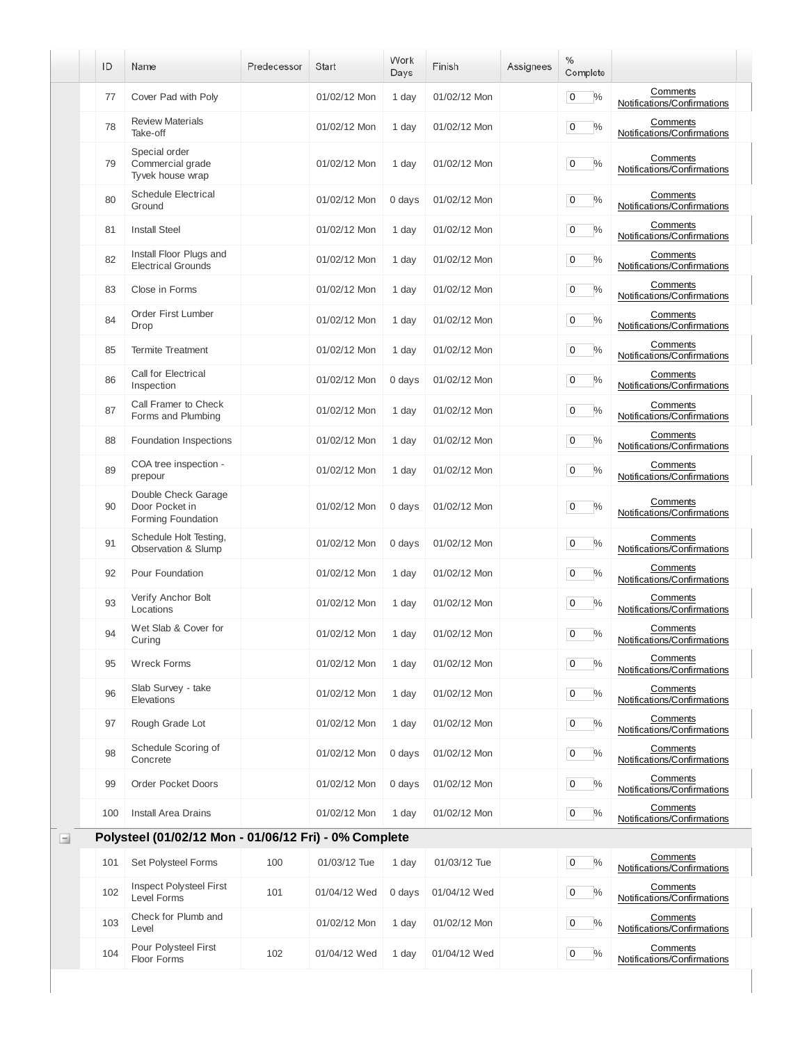|          | ID  | Name                                                        | Predecessor | <b>Start</b> | Work<br>Days | Finish       | Assignees | %<br>Complete                |                                         |
|----------|-----|-------------------------------------------------------------|-------------|--------------|--------------|--------------|-----------|------------------------------|-----------------------------------------|
|          | 77  | Cover Pad with Poly                                         |             | 01/02/12 Mon | 1 day        | 01/02/12 Mon |           | $\frac{0}{0}$<br>0           | Comments<br>Notifications/Confirmations |
|          | 78  | <b>Review Materials</b><br>Take-off                         |             | 01/02/12 Mon | 1 day        | 01/02/12 Mon |           | $\frac{0}{0}$<br>0           | Comments<br>Notifications/Confirmations |
|          | 79  | Special order<br>Commercial grade<br>Tyvek house wrap       |             | 01/02/12 Mon | 1 day        | 01/02/12 Mon |           | $\frac{0}{0}$<br>0           | Comments<br>Notifications/Confirmations |
|          | 80  | <b>Schedule Electrical</b><br>Ground                        |             | 01/02/12 Mon | 0 days       | 01/02/12 Mon |           | $\%$<br>0                    | Comments<br>Notifications/Confirmations |
|          | 81  | <b>Install Steel</b>                                        |             | 01/02/12 Mon | 1 day        | 01/02/12 Mon |           | $\%$<br>0                    | Comments<br>Notifications/Confirmations |
|          | 82  | Install Floor Plugs and<br><b>Electrical Grounds</b>        |             | 01/02/12 Mon | 1 day        | 01/02/12 Mon |           | 0<br>$\%$                    | Comments<br>Notifications/Confirmations |
|          | 83  | Close in Forms                                              |             | 01/02/12 Mon | 1 day        | 01/02/12 Mon |           | $\%$<br>0                    | Comments<br>Notifications/Confirmations |
|          | 84  | Order First Lumber<br>Drop                                  |             | 01/02/12 Mon | 1 day        | 01/02/12 Mon |           | 0<br>$\frac{0}{0}$           | Comments<br>Notifications/Confirmations |
|          | 85  | <b>Termite Treatment</b>                                    |             | 01/02/12 Mon | 1 day        | 01/02/12 Mon |           | $\frac{0}{0}$<br>0           | Comments<br>Notifications/Confirmations |
|          | 86  | Call for Electrical<br>Inspection                           |             | 01/02/12 Mon | 0 days       | 01/02/12 Mon |           | 0<br>$\%$                    | Comments<br>Notifications/Confirmations |
|          | 87  | Call Framer to Check<br>Forms and Plumbing                  |             | 01/02/12 Mon | 1 day        | 01/02/12 Mon |           | $\frac{0}{0}$<br>0           | Comments<br>Notifications/Confirmations |
|          | 88  | Foundation Inspections                                      |             | 01/02/12 Mon | 1 day        | 01/02/12 Mon |           | $\%$<br>0                    | Comments<br>Notifications/Confirmations |
|          | 89  | COA tree inspection -<br>prepour                            |             | 01/02/12 Mon | 1 day        | 01/02/12 Mon |           | $\%$<br>0                    | Comments<br>Notifications/Confirmations |
|          | 90  | Double Check Garage<br>Door Pocket in<br>Forming Foundation |             | 01/02/12 Mon | 0 days       | 01/02/12 Mon |           | $\frac{0}{0}$<br>0           | Comments<br>Notifications/Confirmations |
|          | 91  | Schedule Holt Testing,<br>Observation & Slump               |             | 01/02/12 Mon | 0 days       | 01/02/12 Mon |           | 0<br>$\%$                    | Comments<br>Notifications/Confirmations |
|          | 92  | Pour Foundation                                             |             | 01/02/12 Mon | 1 day        | 01/02/12 Mon |           | $\%$<br>0                    | Comments<br>Notifications/Confirmations |
|          | 93  | Verify Anchor Bolt<br>Locations                             |             | 01/02/12 Mon | 1 day        | 01/02/12 Mon |           | $\frac{0}{0}$<br>0           | Comments<br>Notifications/Confirmations |
|          | 94  | Wet Slab & Cover for<br>Curing                              |             | 01/02/12 Mon | 1 day        | 01/02/12 Mon |           | $\mathbf 0$<br>$\frac{0}{0}$ | Comments<br>Notifications/Confirmations |
|          | 95  | <b>Wreck Forms</b>                                          |             | 01/02/12 Mon | 1 day        | 01/02/12 Mon |           | $\mathbf 0$<br>$\%$          | Comments<br>Notifications/Confirmations |
|          | 96  | Slab Survey - take<br>Elevations                            |             | 01/02/12 Mon | 1 day        | 01/02/12 Mon |           | $\mathbf 0$<br>$\%$          | Comments<br>Notifications/Confirmations |
|          | 97  | Rough Grade Lot                                             |             | 01/02/12 Mon | 1 day        | 01/02/12 Mon |           | 0<br>$\%$                    | Comments<br>Notifications/Confirmations |
|          | 98  | Schedule Scoring of<br>Concrete                             |             | 01/02/12 Mon | 0 days       | 01/02/12 Mon |           | 0<br>$\%$                    | Comments<br>Notifications/Confirmations |
|          | 99  | <b>Order Pocket Doors</b>                                   |             | 01/02/12 Mon | 0 days       | 01/02/12 Mon |           | $\mathbf 0$<br>$\%$          | Comments<br>Notifications/Confirmations |
|          | 100 | <b>Install Area Drains</b>                                  |             | 01/02/12 Mon | 1 day        | 01/02/12 Mon |           | 0<br>$\%$                    | Comments<br>Notifications/Confirmations |
| $\equiv$ |     | Polysteel (01/02/12 Mon - 01/06/12 Fri) - 0% Complete       |             |              |              |              |           |                              |                                         |
|          | 101 | Set Polysteel Forms                                         | 100         | 01/03/12 Tue | 1 day        | 01/03/12 Tue |           | $\mathbf 0$<br>$\%$          | Comments<br>Notifications/Confirmations |
|          | 102 | <b>Inspect Polysteel First</b><br>Level Forms               | 101         | 01/04/12 Wed | 0 days       | 01/04/12 Wed |           | $\mathbf 0$<br>$\%$          | Comments<br>Notifications/Confirmations |
|          | 103 | Check for Plumb and<br>Level                                |             | 01/02/12 Mon | 1 day        | 01/02/12 Mon |           | $\mathbf 0$<br>$\%$          | Comments<br>Notifications/Confirmations |
|          | 104 | Pour Polysteel First<br>Floor Forms                         | 102         | 01/04/12 Wed | 1 day        | 01/04/12 Wed |           | $\%$<br>0                    | Comments<br>Notifications/Confirmations |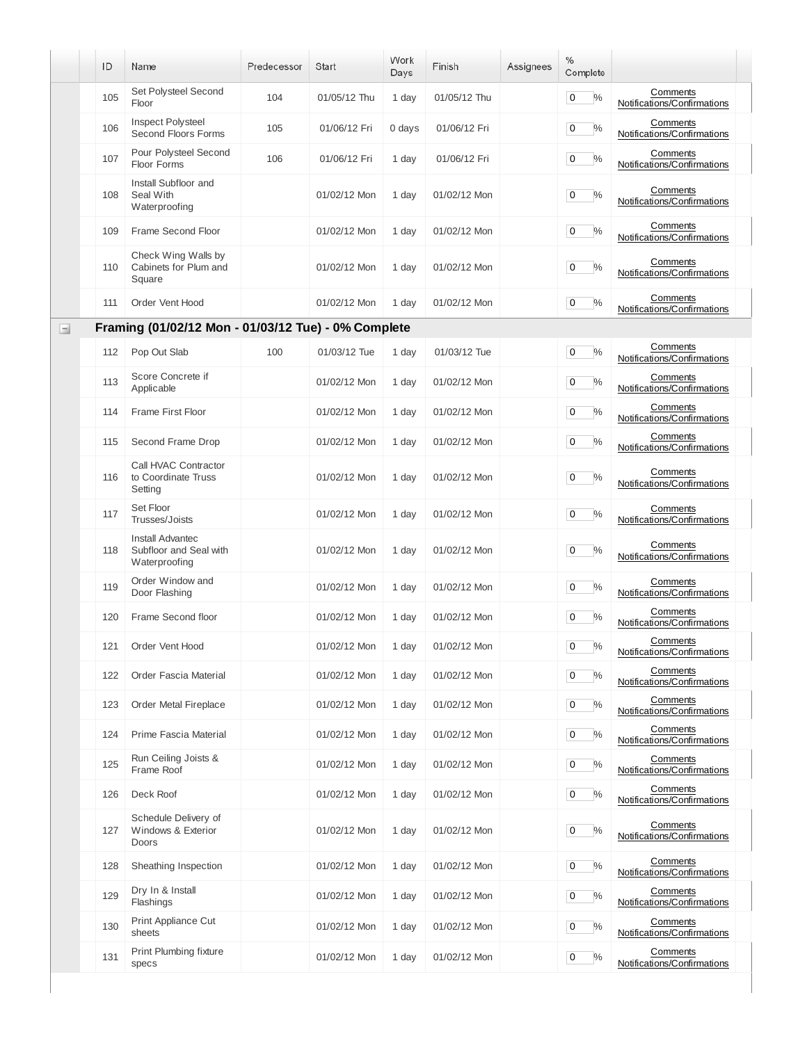|        | ID  | Name                                                        | Predecessor | <b>Start</b> | Work<br>Days | Finish       | Assignees | %<br>Complete       |                                         |
|--------|-----|-------------------------------------------------------------|-------------|--------------|--------------|--------------|-----------|---------------------|-----------------------------------------|
|        | 105 | Set Polysteel Second<br>Floor                               | 104         | 01/05/12 Thu | 1 day        | 01/05/12 Thu |           | 0<br>$\frac{0}{0}$  | Comments<br>Notifications/Confirmations |
|        | 106 | <b>Inspect Polysteel</b><br><b>Second Floors Forms</b>      | 105         | 01/06/12 Fri | 0 days       | 01/06/12 Fri |           | $\frac{0}{0}$<br>0  | Comments<br>Notifications/Confirmations |
|        | 107 | Pour Polysteel Second<br>Floor Forms                        | 106         | 01/06/12 Fri | 1 day        | 01/06/12 Fri |           | $\frac{0}{0}$<br>0  | Comments<br>Notifications/Confirmations |
|        | 108 | Install Subfloor and<br>Seal With<br>Waterproofing          |             | 01/02/12 Mon | 1 day        | 01/02/12 Mon |           | $\frac{0}{0}$<br>0  | Comments<br>Notifications/Confirmations |
|        | 109 | Frame Second Floor                                          |             | 01/02/12 Mon | 1 day        | 01/02/12 Mon |           | $\%$<br>0           | Comments<br>Notifications/Confirmations |
|        | 110 | Check Wing Walls by<br>Cabinets for Plum and<br>Square      |             | 01/02/12 Mon | 1 day        | 01/02/12 Mon |           | $\%$<br>0           | Comments<br>Notifications/Confirmations |
|        | 111 | Order Vent Hood                                             |             | 01/02/12 Mon | 1 day        | 01/02/12 Mon |           | $\frac{0}{0}$<br>0  | Comments<br>Notifications/Confirmations |
| $\Box$ |     | Framing (01/02/12 Mon - 01/03/12 Tue) - 0% Complete         |             |              |              |              |           |                     |                                         |
|        | 112 | Pop Out Slab                                                | 100         | 01/03/12 Tue | 1 day        | 01/03/12 Tue |           | 0<br>%              | Comments<br>Notifications/Confirmations |
|        | 113 | Score Concrete if<br>Applicable                             |             | 01/02/12 Mon | 1 day        | 01/02/12 Mon |           | 0<br>$\frac{0}{0}$  | Comments<br>Notifications/Confirmations |
|        | 114 | Frame First Floor                                           |             | 01/02/12 Mon | 1 day        | 01/02/12 Mon |           | $\frac{0}{0}$<br>0  | Comments<br>Notifications/Confirmations |
|        | 115 | Second Frame Drop                                           |             | 01/02/12 Mon | 1 day        | 01/02/12 Mon |           | 0<br>$\%$           | Comments<br>Notifications/Confirmations |
|        | 116 | Call HVAC Contractor<br>to Coordinate Truss<br>Setting      |             | 01/02/12 Mon | 1 day        | 01/02/12 Mon |           | $\frac{0}{0}$<br>0  | Comments<br>Notifications/Confirmations |
|        | 117 | Set Floor<br>Trusses/Joists                                 |             | 01/02/12 Mon | 1 day        | 01/02/12 Mon |           | $\%$<br>0           | Comments<br>Notifications/Confirmations |
|        | 118 | Install Advantec<br>Subfloor and Seal with<br>Waterproofing |             | 01/02/12 Mon | 1 day        | 01/02/12 Mon |           | %<br>0              | Comments<br>Notifications/Confirmations |
|        | 119 | Order Window and<br>Door Flashing                           |             | 01/02/12 Mon | 1 day        | 01/02/12 Mon |           | $\%$<br>0           | Comments<br>Notifications/Confirmations |
|        | 120 | Frame Second floor                                          |             | 01/02/12 Mon | 1 day        | 01/02/12 Mon |           | 0<br>$\%$           | Comments<br>Notifications/Confirmations |
|        | 121 | Order Vent Hood                                             |             | 01/02/12 Mon | 1 day        | 01/02/12 Mon |           | $\%$<br>0           | Comments<br>Notifications/Confirmations |
|        | 122 | <b>Order Fascia Material</b>                                |             | 01/02/12 Mon | 1 day        | 01/02/12 Mon |           | $\mathbf 0$<br>$\%$ | Comments<br>Notifications/Confirmations |
|        | 123 | Order Metal Fireplace                                       |             | 01/02/12 Mon | 1 day        | 01/02/12 Mon |           | $\mathbf 0$<br>$\%$ | Comments<br>Notifications/Confirmations |
|        | 124 | Prime Fascia Material                                       |             | 01/02/12 Mon | 1 day        | 01/02/12 Mon |           | $\mathbf 0$<br>$\%$ | Comments<br>Notifications/Confirmations |
|        | 125 | Run Ceiling Joists &<br>Frame Roof                          |             | 01/02/12 Mon | 1 day        | 01/02/12 Mon |           | $\%$<br>0           | Comments<br>Notifications/Confirmations |
|        | 126 | Deck Roof                                                   |             | 01/02/12 Mon | 1 day        | 01/02/12 Mon |           | $\%$<br>0           | Comments<br>Notifications/Confirmations |
|        | 127 | Schedule Delivery of<br>Windows & Exterior<br>Doors         |             | 01/02/12 Mon | 1 day        | 01/02/12 Mon |           | 0<br>$\%$           | Comments<br>Notifications/Confirmations |
|        | 128 | Sheathing Inspection                                        |             | 01/02/12 Mon | 1 day        | 01/02/12 Mon |           | $\%$<br>0           | Comments<br>Notifications/Confirmations |
|        | 129 | Dry In & Install<br>Flashings                               |             | 01/02/12 Mon | 1 day        | 01/02/12 Mon |           | $\mathbf 0$<br>$\%$ | Comments<br>Notifications/Confirmations |
|        | 130 | Print Appliance Cut<br>sheets                               |             | 01/02/12 Mon | 1 day        | 01/02/12 Mon |           | $\mathbf 0$<br>$\%$ | Comments<br>Notifications/Confirmations |
|        | 131 | Print Plumbing fixture<br>specs                             |             | 01/02/12 Mon | 1 day        | 01/02/12 Mon |           | $\mathbf 0$<br>$\%$ | Comments<br>Notifications/Confirmations |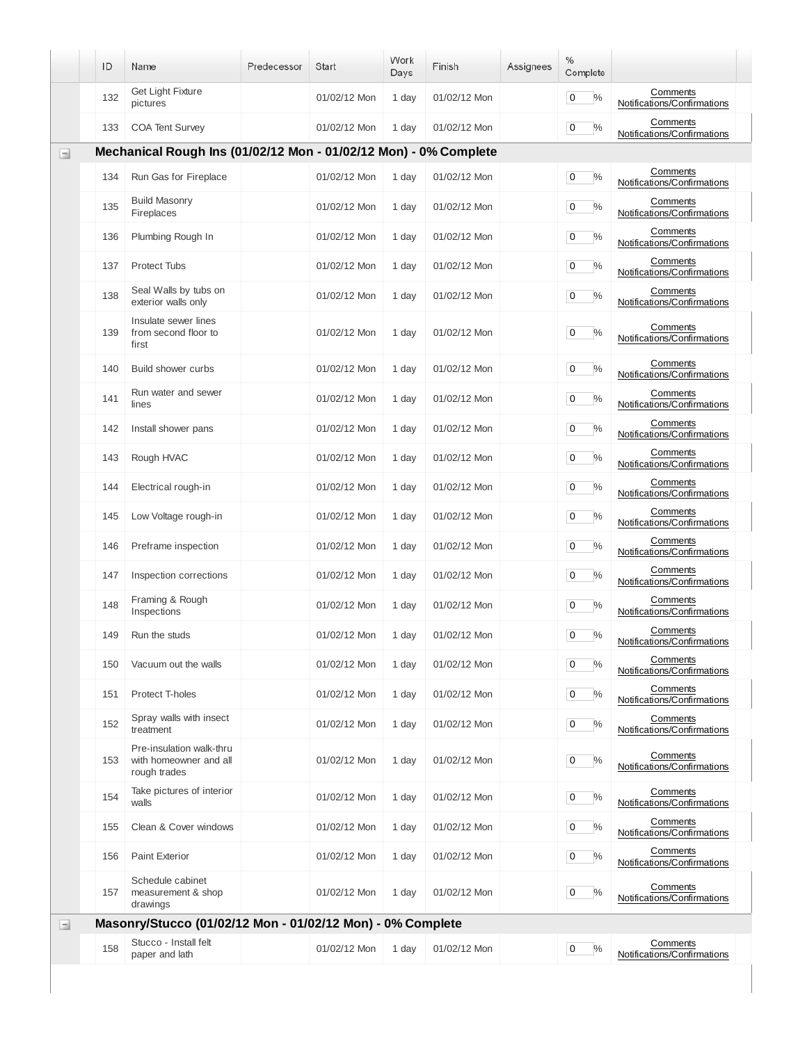|          | ID  | Name                                                               | Predecessor | Start        | Work<br>Days | Finish       | Assignees | $\%$<br>Complete                |                                         |
|----------|-----|--------------------------------------------------------------------|-------------|--------------|--------------|--------------|-----------|---------------------------------|-----------------------------------------|
|          | 132 | Get Light Fixture<br>pictures                                      |             | 01/02/12 Mon | 1 day        | 01/02/12 Mon |           | $\mathbf 0$<br>$\frac{0}{0}$    | Comments<br>Notifications/Confirmations |
|          | 133 | <b>COA Tent Survey</b>                                             |             | 01/02/12 Mon | 1 day        | 01/02/12 Mon |           | $\mathsf 0$<br>$\%$             | Comments<br>Notifications/Confirmations |
| $\equiv$ |     | Mechanical Rough Ins (01/02/12 Mon - 01/02/12 Mon) - 0% Complete   |             |              |              |              |           |                                 |                                         |
|          | 134 | Run Gas for Fireplace                                              |             | 01/02/12 Mon | 1 day        | 01/02/12 Mon |           | $\mathbf 0$<br>$\frac{0}{0}$    | Comments<br>Notifications/Confirmations |
|          | 135 | <b>Build Masonry</b><br>Fireplaces                                 |             | 01/02/12 Mon | 1 day        | 01/02/12 Mon |           | $\overline{0}$<br>$\frac{0}{0}$ | Comments<br>Notifications/Confirmations |
|          | 136 | Plumbing Rough In                                                  |             | 01/02/12 Mon | 1 day        | 01/02/12 Mon |           | $\mathbf 0$<br>$\%$             | Comments<br>Notifications/Confirmations |
|          | 137 | <b>Protect Tubs</b>                                                |             | 01/02/12 Mon | 1 day        | 01/02/12 Mon |           | $\mathbf 0$<br>$\frac{0}{0}$    | Comments<br>Notifications/Confirmations |
|          | 138 | Seal Walls by tubs on<br>exterior walls only                       |             | 01/02/12 Mon | 1 day        | 01/02/12 Mon |           | 0<br>$\%$                       | Comments<br>Notifications/Confirmations |
|          | 139 | Insulate sewer lines<br>from second floor to<br>first              |             | 01/02/12 Mon | 1 day        | 01/02/12 Mon |           | $\frac{0}{0}$<br>0              | Comments<br>Notifications/Confirmations |
|          | 140 | Build shower curbs                                                 |             | 01/02/12 Mon | 1 day        | 01/02/12 Mon |           | $\overline{0}$<br>$\%$          | Comments<br>Notifications/Confirmations |
|          | 141 | Run water and sewer<br>lines                                       |             | 01/02/12 Mon | 1 day        | 01/02/12 Mon |           | $\mathbf 0$<br>$\frac{0}{0}$    | Comments<br>Notifications/Confirmations |
|          | 142 | Install shower pans                                                |             | 01/02/12 Mon | 1 day        | 01/02/12 Mon |           | $\overline{0}$<br>$\frac{0}{0}$ | Comments<br>Notifications/Confirmations |
|          | 143 | Rough HVAC                                                         |             | 01/02/12 Mon | 1 day        | 01/02/12 Mon |           | $\mathbf 0$<br>$\%$             | Comments<br>Notifications/Confirmations |
|          | 144 | Electrical rough-in                                                |             | 01/02/12 Mon | 1 day        | 01/02/12 Mon |           | $\overline{0}$<br>$\frac{0}{0}$ | Comments<br>Notifications/Confirmations |
|          | 145 | Low Voltage rough-in                                               |             | 01/02/12 Mon | 1 day        | 01/02/12 Mon |           | $\mathbf 0$<br>$\frac{0}{0}$    | Comments<br>Notifications/Confirmations |
|          | 146 | Preframe inspection                                                |             | 01/02/12 Mon | 1 day        | 01/02/12 Mon |           | $\frac{0}{0}$<br>$\overline{0}$ | Comments<br>Notifications/Confirmations |
|          | 147 | Inspection corrections                                             |             | 01/02/12 Mon | 1 day        | 01/02/12 Mon |           | 0<br>$\frac{0}{0}$              | Comments<br>Notifications/Confirmations |
|          | 148 | Framing & Rough<br>Inspections                                     |             | 01/02/12 Mon | 1 day        | 01/02/12 Mon |           | $\frac{0}{0}$<br>$\mathbf 0$    | Comments<br>Notifications/Confirmations |
|          | 149 | Run the studs                                                      |             | 01/02/12 Mon | 1 day        | 01/02/12 Mon |           | $\mathbf 0$<br>$\frac{0}{0}$    | Comments<br>Notifications/Confirmations |
|          | 150 | Vacuum out the walls                                               |             | 01/02/12 Mon | 1 day        | 01/02/12 Mon |           | $\mathbf 0$<br>$\frac{0}{0}$    | Comments<br>Notifications/Confirmations |
|          | 151 | Protect T-holes                                                    |             | 01/02/12 Mon | 1 day        | 01/02/12 Mon |           | $\overline{0}$<br>$\frac{0}{0}$ | Comments<br>Notifications/Confirmations |
|          | 152 | Spray walls with insect<br>treatment                               |             | 01/02/12 Mon | 1 day        | 01/02/12 Mon |           | $\overline{0}$<br>$\frac{0}{0}$ | Comments<br>Notifications/Confirmations |
|          | 153 | Pre-insulation walk-thru<br>with homeowner and all<br>rough trades |             | 01/02/12 Mon | 1 day        | 01/02/12 Mon |           | 0<br>$\frac{0}{0}$              | Comments<br>Notifications/Confirmations |
|          | 154 | Take pictures of interior<br>walls                                 |             | 01/02/12 Mon | 1 day        | 01/02/12 Mon |           | $\mathbf 0$<br>$\%$             | Comments<br>Notifications/Confirmations |
|          | 155 | Clean & Cover windows                                              |             | 01/02/12 Mon | 1 day        | 01/02/12 Mon |           | $\overline{0}$<br>$\%$          | Comments<br>Notifications/Confirmations |
|          | 156 | <b>Paint Exterior</b>                                              |             | 01/02/12 Mon | 1 day        | 01/02/12 Mon |           | $\mathbf 0$<br>$\%$             | Comments<br>Notifications/Confirmations |
|          | 157 | Schedule cabinet<br>measurement & shop<br>drawings                 |             | 01/02/12 Mon | 1 day        | 01/02/12 Mon |           | 0<br>$\%$                       | Comments<br>Notifications/Confirmations |
| $\equiv$ |     | Masonry/Stucco (01/02/12 Mon - 01/02/12 Mon) - 0% Complete         |             |              |              |              |           |                                 |                                         |
|          | 158 | Stucco - Install felt<br>paper and lath                            |             | 01/02/12 Mon | 1 day        | 01/02/12 Mon |           | $\%$<br>$\mathbf 0$             | Comments<br>Notifications/Confirmations |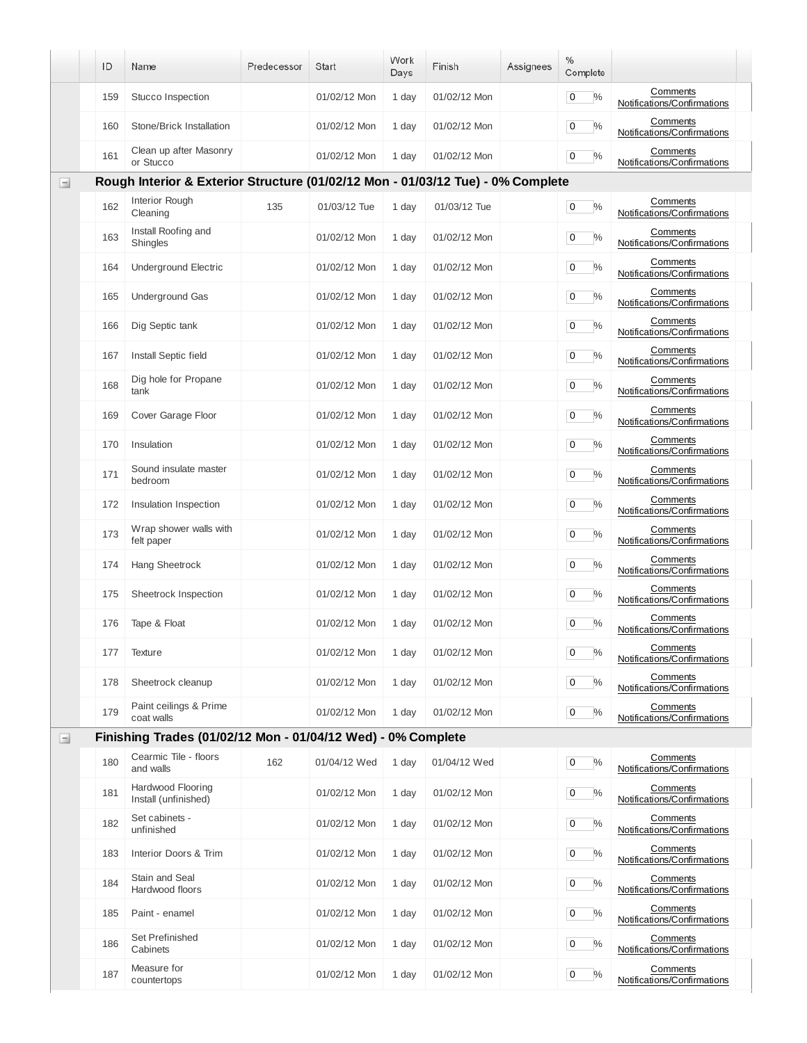|          | ID  | Name                                                                            | Predecessor | Start        | Work<br>Days | Finish       | Assignees | %<br>Complete                   |                                         |
|----------|-----|---------------------------------------------------------------------------------|-------------|--------------|--------------|--------------|-----------|---------------------------------|-----------------------------------------|
|          | 159 | Stucco Inspection                                                               |             | 01/02/12 Mon | 1 day        | 01/02/12 Mon |           | $\overline{0}$<br>$\frac{0}{0}$ | Comments<br>Notifications/Confirmations |
|          | 160 | Stone/Brick Installation                                                        |             | 01/02/12 Mon | 1 day        | 01/02/12 Mon |           | $\mathbf 0$<br>$\frac{0}{0}$    | Comments<br>Notifications/Confirmations |
|          | 161 | Clean up after Masonry<br>or Stucco                                             |             | 01/02/12 Mon | 1 day        | 01/02/12 Mon |           | $\mathbf 0$<br>$\frac{0}{0}$    | Comments<br>Notifications/Confirmations |
| $\equiv$ |     | Rough Interior & Exterior Structure (01/02/12 Mon - 01/03/12 Tue) - 0% Complete |             |              |              |              |           |                                 |                                         |
|          | 162 | Interior Rough<br>Cleaning                                                      | 135         | 01/03/12 Tue | 1 day        | 01/03/12 Tue |           | $\overline{0}$<br>$\frac{0}{0}$ | Comments<br>Notifications/Confirmations |
|          | 163 | Install Roofing and<br><b>Shingles</b>                                          |             | 01/02/12 Mon | 1 day        | 01/02/12 Mon |           | $\mathbf 0$<br>$\frac{0}{0}$    | Comments<br>Notifications/Confirmations |
|          | 164 | <b>Underground Electric</b>                                                     |             | 01/02/12 Mon | 1 day        | 01/02/12 Mon |           | 0<br>$\%$                       | Comments<br>Notifications/Confirmations |
|          | 165 | <b>Underground Gas</b>                                                          |             | 01/02/12 Mon | 1 day        | 01/02/12 Mon |           | $\mathbf 0$<br>$\%$             | Comments<br>Notifications/Confirmations |
|          | 166 | Dig Septic tank                                                                 |             | 01/02/12 Mon | 1 day        | 01/02/12 Mon |           | 0<br>$\%$                       | Comments<br>Notifications/Confirmations |
|          | 167 | Install Septic field                                                            |             | 01/02/12 Mon | 1 day        | 01/02/12 Mon |           | $\mathbf 0$<br>$\frac{0}{0}$    | Comments<br>Notifications/Confirmations |
|          | 168 | Dig hole for Propane<br>tank                                                    |             | 01/02/12 Mon | 1 day        | 01/02/12 Mon |           | 0<br>$\%$                       | Comments<br>Notifications/Confirmations |
|          | 169 | Cover Garage Floor                                                              |             | 01/02/12 Mon | 1 day        | 01/02/12 Mon |           | $\mathbf 0$<br>$\%$             | Comments<br>Notifications/Confirmations |
|          | 170 | Insulation                                                                      |             | 01/02/12 Mon | 1 day        | 01/02/12 Mon |           | $\frac{0}{0}$<br>0              | Comments<br>Notifications/Confirmations |
|          | 171 | Sound insulate master<br>bedroom                                                |             | 01/02/12 Mon | 1 day        | 01/02/12 Mon |           | $\mathbf 0$<br>$\frac{0}{0}$    | Comments<br>Notifications/Confirmations |
|          | 172 | Insulation Inspection                                                           |             | 01/02/12 Mon | 1 day        | 01/02/12 Mon |           | $\frac{0}{0}$<br>0              | Comments<br>Notifications/Confirmations |
|          | 173 | Wrap shower walls with<br>felt paper                                            |             | 01/02/12 Mon | 1 day        | 01/02/12 Mon |           | $\mathbf 0$<br>$\%$             | Comments<br>Notifications/Confirmations |
|          | 174 | Hang Sheetrock                                                                  |             | 01/02/12 Mon | 1 day        | 01/02/12 Mon |           | $\frac{0}{0}$<br>0              | Comments<br>Notifications/Confirmations |
|          | 175 | Sheetrock Inspection                                                            |             | 01/02/12 Mon | 1 day        | 01/02/12 Mon |           | $\mathbf 0$<br>$\frac{0}{0}$    | Comments<br>Notifications/Confirmations |
|          | 176 | Tape & Float                                                                    |             | 01/02/12 Mon | 1 day        | 01/02/12 Mon |           | 0<br>$\%$                       | Comments<br>Notifications/Confirmations |
|          | 177 | <b>Texture</b>                                                                  |             | 01/02/12 Mon | 1 day        | 01/02/12 Mon |           | $\overline{0}$<br>$\frac{0}{0}$ | Comments<br>Notifications/Confirmations |
|          | 178 | Sheetrock cleanup                                                               |             | 01/02/12 Mon | 1 day        | 01/02/12 Mon |           | $\mathbf 0$<br>$\%$             | Comments<br>Notifications/Confirmations |
|          | 179 | Paint ceilings & Prime<br>coat walls                                            |             | 01/02/12 Mon | 1 day        | 01/02/12 Mon |           | $\%$<br>$\mathbf 0$             | Comments<br>Notifications/Confirmations |
| $\equiv$ |     | Finishing Trades (01/02/12 Mon - 01/04/12 Wed) - 0% Complete                    |             |              |              |              |           |                                 |                                         |
|          | 180 | Cearmic Tile - floors<br>and walls                                              | 162         | 01/04/12 Wed | 1 day        | 01/04/12 Wed |           | $\overline{0}$<br>$\%$          | Comments<br>Notifications/Confirmations |
|          | 181 | Hardwood Flooring<br>Install (unfinished)                                       |             | 01/02/12 Mon | 1 day        | 01/02/12 Mon |           | $\%$<br>$\mathbf 0$             | Comments<br>Notifications/Confirmations |
|          | 182 | Set cabinets -<br>unfinished                                                    |             | 01/02/12 Mon | 1 day        | 01/02/12 Mon |           | $\overline{0}$<br>$\%$          | Comments<br>Notifications/Confirmations |
|          | 183 | Interior Doors & Trim                                                           |             | 01/02/12 Mon | 1 day        | 01/02/12 Mon |           | $\overline{0}$<br>$\%$          | Comments<br>Notifications/Confirmations |
|          | 184 | Stain and Seal<br>Hardwood floors                                               |             | 01/02/12 Mon | 1 day        | 01/02/12 Mon |           | $\overline{0}$<br>$\%$          | Comments<br>Notifications/Confirmations |
|          | 185 | Paint - enamel                                                                  |             | 01/02/12 Mon | 1 day        | 01/02/12 Mon |           | $\overline{0}$<br>$\%$          | Comments<br>Notifications/Confirmations |
|          | 186 | <b>Set Prefinished</b><br>Cabinets                                              |             | 01/02/12 Mon | 1 day        | 01/02/12 Mon |           | $\mathbf 0$<br>$\%$             | Comments<br>Notifications/Confirmations |
|          | 187 | Measure for<br>countertops                                                      |             | 01/02/12 Mon | 1 day        | 01/02/12 Mon |           | 0<br>$\%$                       | Comments<br>Notifications/Confirmations |